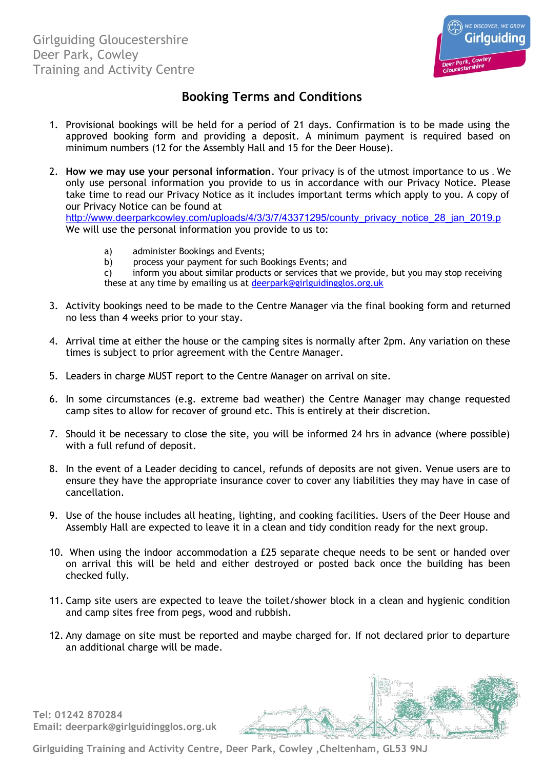

## **Booking Terms and Conditions**

- 1. Provisional bookings will be held for a period of 21 days. Confirmation is to be made using the approved booking form and providing a deposit. A minimum payment is required based on minimum numbers (12 for the Assembly Hall and 15 for the Deer House).
- 2. **How we may use your personal information**. Your privacy is of the utmost importance to us . We only use personal information you provide to us in accordance with our Privacy Notice. Please take time to read our Privacy Notice as it includes important terms which apply to you. A copy of our Privacy Notice can be found at

[http://www.deerparkcowley.com/uploads/4/3/3/7/43371295/county\\_privacy\\_notice\\_28\\_jan\\_2019.p](http://www.deerparkcowley.com/uploads/4/3/3/7/43371295/county_privacy_notice_28_jan_2019.pdf) We will use the personal information you provide to us to:

- a) administer Bookings and Events;
- b) process your payment for such Bookings Events; and
- c) inform you about similar products or services that we provide, but you may stop receiving these at any time by emailing us at [deerpark@girlguidingglos.org.uk](mailto:deerpark@girlguidingglos.org.uk)
- 3. Activity bookings need to be made to the Centre Manager via the final booking form and returned no less than 4 weeks prior to your stay.
- 4. Arrival time at either the house or the camping sites is normally after 2pm. Any variation on these times is subject to prior agreement with the Centre Manager.
- 5. Leaders in charge MUST report to the Centre Manager on arrival on site.
- 6. In some circumstances (e.g. extreme bad weather) the Centre Manager may change requested camp sites to allow for recover of ground etc. This is entirely at their discretion.
- 7. Should it be necessary to close the site, you will be informed 24 hrs in advance (where possible) with a full refund of deposit.
- 8. In the event of a Leader deciding to cancel, refunds of deposits are not given. Venue users are to ensure they have the appropriate insurance cover to cover any liabilities they may have in case of cancellation.
- 9. Use of the house includes all heating, lighting, and cooking facilities. Users of the Deer House and Assembly Hall are expected to leave it in a clean and tidy condition ready for the next group.
- 10. When using the indoor accommodation a £25 separate cheque needs to be sent or handed over on arrival this will be held and either destroyed or posted back once the building has been checked fully.
- 11. Camp site users are expected to leave the toilet/shower block in a clean and hygienic condition and camp sites free from pegs, wood and rubbish.
- 12. Any damage on site must be reported and maybe charged for. If not declared prior to departure an additional charge will be made.



**Girlguiding Training and Activity Centre, Deer Park, Cowley ,Cheltenham, GL53 9NJ**